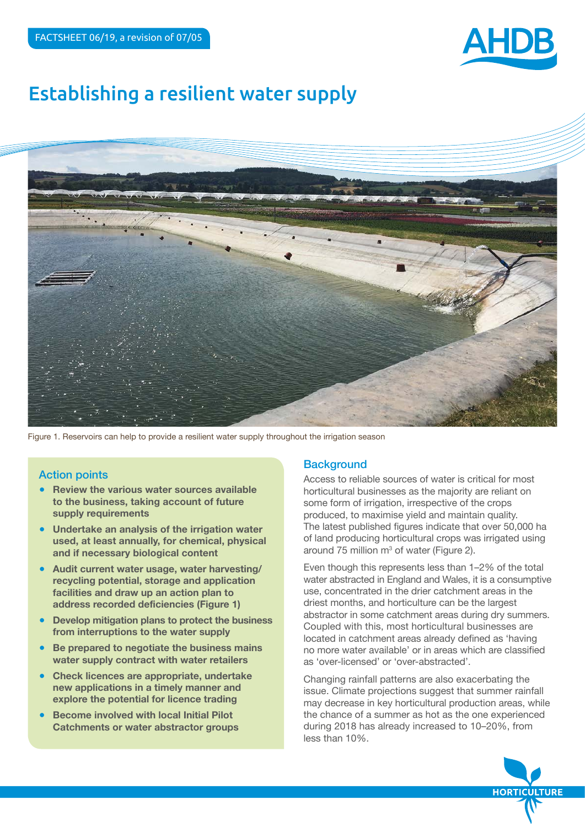

# Establishing a resilient water supply



Figure 1. Reservoirs can help to provide a resilient water supply throughout the irrigation season

## Action points

- **Review the various water sources available to the business, taking account of future supply requirements**
- **Undertake an analysis of the irrigation water used, at least annually, for chemical, physical and if necessary biological content**
- Audit current water usage, water harvesting/ **recycling potential, storage and application facilities and draw up an action plan to address recorded deficiencies (Figure 1)**
- **Develop mitigation plans to protect the business from interruptions to the water supply**
- **Be prepared to negotiate the business mains water supply contract with water retailers**
- **Check licences are appropriate, undertake new applications in a timely manner and explore the potential for licence trading**
- **Become involved with local Initial Pilot Catchments or water abstractor groups**

## **Background**

Access to reliable sources of water is critical for most horticultural businesses as the majority are reliant on some form of irrigation, irrespective of the crops produced, to maximise yield and maintain quality. The latest published figures indicate that over 50,000 ha of land producing horticultural crops was irrigated using around 75 million  $m^3$  of water (Figure 2).

Even though this represents less than 1–2% of the total water abstracted in England and Wales, it is a consumptive use, concentrated in the drier catchment areas in the driest months, and horticulture can be the largest abstractor in some catchment areas during dry summers. Coupled with this, most horticultural businesses are located in catchment areas already defined as 'having no more water available' or in areas which are classified as 'over-licensed' or 'over-abstracted'.

Changing rainfall patterns are also exacerbating the issue. Climate projections suggest that summer rainfall may decrease in key horticultural production areas, while the chance of a summer as hot as the one experienced during 2018 has already increased to 10–20%, from less than 10%.

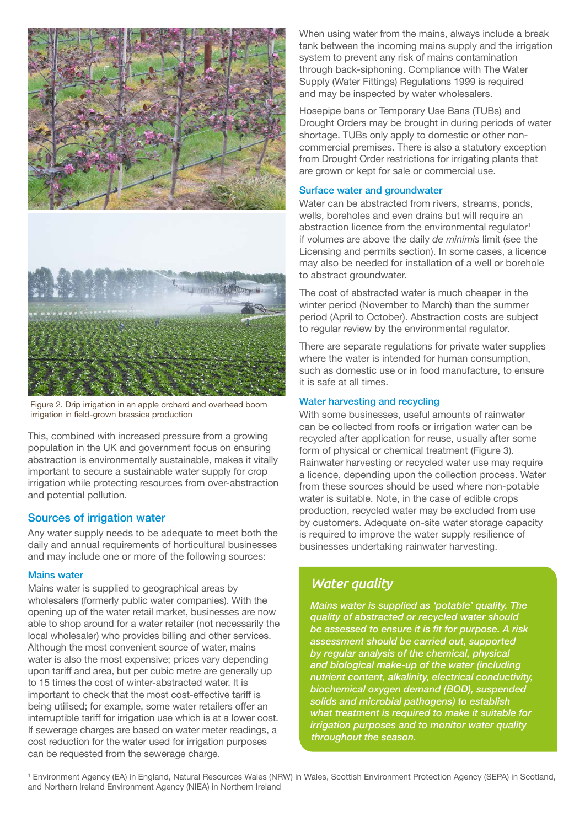

Figure 2. Drip irrigation in an apple orchard and overhead boom irrigation in field-grown brassica production

This, combined with increased pressure from a growing population in the UK and government focus on ensuring abstraction is environmentally sustainable, makes it vitally important to secure a sustainable water supply for crop irrigation while protecting resources from over-abstraction and potential pollution.

## Sources of irrigation water

Any water supply needs to be adequate to meet both the daily and annual requirements of horticultural businesses and may include one or more of the following sources:

#### Mains water

Mains water is supplied to geographical areas by wholesalers (formerly public water companies). With the opening up of the water retail market, businesses are now able to shop around for a water retailer (not necessarily the local wholesaler) who provides billing and other services. Although the most convenient source of water, mains water is also the most expensive; prices vary depending upon tariff and area, but per cubic metre are generally up to 15 times the cost of winter-abstracted water. It is important to check that the most cost-effective tariff is being utilised; for example, some water retailers offer an interruptible tariff for irrigation use which is at a lower cost. If sewerage charges are based on water meter readings, a cost reduction for the water used for irrigation purposes can be requested from the sewerage charge.

When using water from the mains, always include a break tank between the incoming mains supply and the irrigation system to prevent any risk of mains contamination through back-siphoning. Compliance with The Water Supply (Water Fittings) Regulations 1999 is required and may be inspected by water wholesalers.

Hosepipe bans or Temporary Use Bans (TUBs) and Drought Orders may be brought in during periods of water shortage. TUBs only apply to domestic or other noncommercial premises. There is also a statutory exception from Drought Order restrictions for irrigating plants that are grown or kept for sale or commercial use.

## Surface water and groundwater

Water can be abstracted from rivers, streams, ponds, wells, boreholes and even drains but will require an abstraction licence from the environmental regulator<sup>1</sup> if volumes are above the daily *de minimis* limit (see the Licensing and permits section). In some cases, a licence may also be needed for installation of a well or borehole to abstract groundwater.

The cost of abstracted water is much cheaper in the winter period (November to March) than the summer period (April to October). Abstraction costs are subject to regular review by the environmental regulator.

There are separate regulations for private water supplies where the water is intended for human consumption, such as domestic use or in food manufacture, to ensure it is safe at all times.

## Water harvesting and recycling

With some businesses, useful amounts of rainwater can be collected from roofs or irrigation water can be recycled after application for reuse, usually after some form of physical or chemical treatment (Figure 3). Rainwater harvesting or recycled water use may require a licence, depending upon the collection process. Water from these sources should be used where non-potable water is suitable. Note, in the case of edible crops production, recycled water may be excluded from use by customers. Adequate on-site water storage capacity is required to improve the water supply resilience of businesses undertaking rainwater harvesting.

# *Water quality*

*Mains water is supplied as 'potable' quality. The quality of abstracted or recycled water should be assessed to ensure it is fit for purpose. A risk assessment should be carried out, supported by regular analysis of the chemical, physical and biological make-up of the water (including nutrient content, alkalinity, electrical conductivity, biochemical oxygen demand (BOD), suspended solids and microbial pathogens) to establish what treatment is required to make it suitable for irrigation purposes and to monitor water quality throughout the season.*

1 Environment Agency (EA) in England, Natural Resources Wales (NRW) in Wales, Scottish Environment Protection Agency (SEPA) in Scotland, and Northern Ireland Environment Agency (NIEA) in Northern Ireland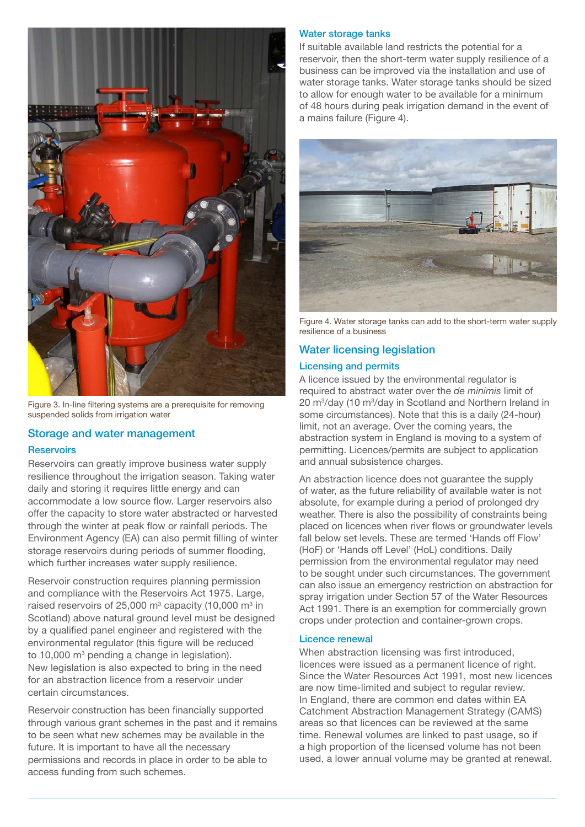

Figure 3. In-line filtering systems are a prerequisite for removing suspended solids from irrigation water

## Storage and water management

#### **Reservoirs**

Reservoirs can greatly improve business water supply resilience throughout the irrigation season. Taking water daily and storing it requires little energy and can accommodate a low source flow. Larger reservoirs also offer the capacity to store water abstracted or harvested through the winter at peak flow or rainfall periods. The Environment Agency (EA) can also permit filling of winter storage reservoirs during periods of summer flooding, which further increases water supply resilience.

Reservoir construction requires planning permission and compliance with the Reservoirs Act 1975. Large, raised reservoirs of 25,000 m $^{\rm 3}$  capacity (10,000 m $^{\rm 3}$  in Scotland) above natural ground level must be designed by a qualified panel engineer and registered with the environmental regulator (this figure will be reduced to 10,000  $\text{m}^3$  pending a change in legislation). New legislation is also expected to bring in the need for an abstraction licence from a reservoir under certain circumstances.

Reservoir construction has been financially supported through various grant schemes in the past and it remains to be seen what new schemes may be available in the future. It is important to have all the necessary permissions and records in place in order to be able to access funding from such schemes.

#### Water storage tanks

If suitable available land restricts the potential for a reservoir, then the short-term water supply resilience of a business can be improved via the installation and use of water storage tanks. Water storage tanks should be sized to allow for enough water to be available for a minimum of 48 hours during peak irrigation demand in the event of a mains failure (Figure 4).



Figure 4. Water storage tanks can add to the short-term water supply resilience of a business

## Water licensing legislation

#### Licensing and permits

A licence issued by the environmental regulator is required to abstract water over the *de minimis* limit of 20 m<sup>3</sup>/day (10 m<sup>3</sup>/day in Scotland and Northern Ireland in some circumstances). Note that this is a daily (24-hour) limit, not an average. Over the coming years, the abstraction system in England is moving to a system of permitting. Licences/permits are subject to application and annual subsistence charges.

An abstraction licence does not guarantee the supply of water, as the future reliability of available water is not absolute, for example during a period of prolonged dry weather. There is also the possibility of constraints being placed on licences when river flows or groundwater levels fall below set levels. These are termed 'Hands off Flow' (HoF) or 'Hands off Level' (HoL) conditions. Daily permission from the environmental regulator may need to be sought under such circumstances. The government can also issue an emergency restriction on abstraction for spray irrigation under Section 57 of the Water Resources Act 1991. There is an exemption for commercially grown crops under protection and container-grown crops.

#### Licence renewal

When abstraction licensing was first introduced, licences were issued as a permanent licence of right. Since the Water Resources Act 1991, most new licences are now time-limited and subject to regular review. In England, there are common end dates within EA Catchment Abstraction Management Strategy (CAMS) areas so that licences can be reviewed at the same time. Renewal volumes are linked to past usage, so if a high proportion of the licensed volume has not been used, a lower annual volume may be granted at renewal.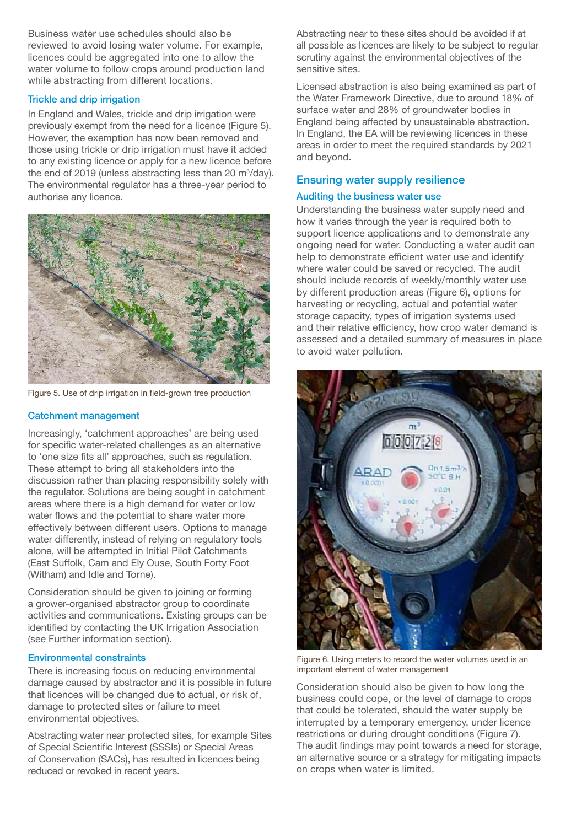Business water use schedules should also be reviewed to avoid losing water volume. For example, licences could be aggregated into one to allow the water volume to follow crops around production land while abstracting from different locations.

## Trickle and drip irrigation

In England and Wales, trickle and drip irrigation were previously exempt from the need for a licence (Figure 5). However, the exemption has now been removed and those using trickle or drip irrigation must have it added to any existing licence or apply for a new licence before the end of 2019 (unless abstracting less than 20  $\mathrm{m}^3\mathrm{/day}$ ). The environmental regulator has a three-year period to authorise any licence.



Figure 5. Use of drip irrigation in field-grown tree production

## Catchment management

Increasingly, 'catchment approaches' are being used for specific water-related challenges as an alternative to 'one size fits all' approaches, such as regulation. These attempt to bring all stakeholders into the discussion rather than placing responsibility solely with the regulator. Solutions are being sought in catchment areas where there is a high demand for water or low water flows and the potential to share water more effectively between different users. Options to manage water differently, instead of relying on regulatory tools alone, will be attempted in Initial Pilot Catchments (East Suffolk, Cam and Ely Ouse, South Forty Foot (Witham) and Idle and Torne).

Consideration should be given to joining or forming a grower-organised abstractor group to coordinate activities and communications. Existing groups can be identified by contacting the UK Irrigation Association (see Further information section).

## Environmental constraints

There is increasing focus on reducing environmental damage caused by abstractor and it is possible in future that licences will be changed due to actual, or risk of, damage to protected sites or failure to meet environmental objectives.

Abstracting water near protected sites, for example Sites of Special Scientific Interest (SSSIs) or Special Areas of Conservation (SACs), has resulted in licences being reduced or revoked in recent years.

Abstracting near to these sites should be avoided if at all possible as licences are likely to be subject to regular scrutiny against the environmental objectives of the sensitive sites.

Licensed abstraction is also being examined as part of the Water Framework Directive, due to around 18% of surface water and 28% of groundwater bodies in England being affected by unsustainable abstraction. In England, the EA will be reviewing licences in these areas in order to meet the required standards by 2021 and beyond.

## Ensuring water supply resilience

## Auditing the business water use

Understanding the business water supply need and how it varies through the year is required both to support licence applications and to demonstrate any ongoing need for water. Conducting a water audit can help to demonstrate efficient water use and identify where water could be saved or recycled. The audit should include records of weekly/monthly water use by different production areas (Figure 6), options for harvesting or recycling, actual and potential water storage capacity, types of irrigation systems used and their relative efficiency, how crop water demand is assessed and a detailed summary of measures in place to avoid water pollution.



Figure 6. Using meters to record the water volumes used is an important element of water management

Consideration should also be given to how long the business could cope, or the level of damage to crops that could be tolerated, should the water supply be interrupted by a temporary emergency, under licence restrictions or during drought conditions (Figure 7). The audit findings may point towards a need for storage, an alternative source or a strategy for mitigating impacts on crops when water is limited.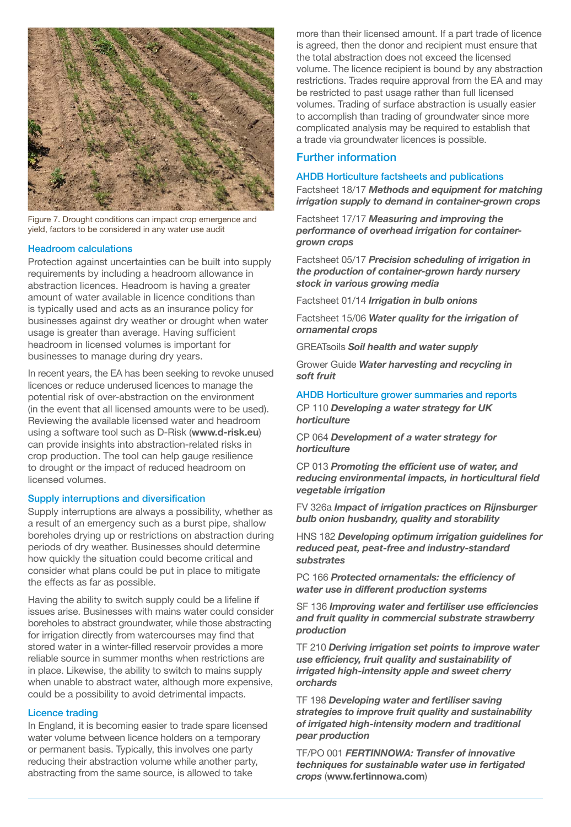

Figure 7. Drought conditions can impact crop emergence and yield, factors to be considered in any water use audit

#### Headroom calculations

Protection against uncertainties can be built into supply requirements by including a headroom allowance in abstraction licences. Headroom is having a greater amount of water available in licence conditions than is typically used and acts as an insurance policy for businesses against dry weather or drought when water usage is greater than average. Having sufficient headroom in licensed volumes is important for businesses to manage during dry years.

In recent years, the EA has been seeking to revoke unused licences or reduce underused licences to manage the potential risk of over-abstraction on the environment (in the event that all licensed amounts were to be used). Reviewing the available licensed water and headroom using a software tool such as D-Risk (**[www.d-risk.eu](http://www.d-risk.eu)**) can provide insights into abstraction-related risks in crop production. The tool can help gauge resilience to drought or the impact of reduced headroom on licensed volumes.

#### Supply interruptions and diversification

Supply interruptions are always a possibility, whether as a result of an emergency such as a burst pipe, shallow boreholes drying up or restrictions on abstraction during periods of dry weather. Businesses should determine how quickly the situation could become critical and consider what plans could be put in place to mitigate the effects as far as possible.

Having the ability to switch supply could be a lifeline if issues arise. Businesses with mains water could consider boreholes to abstract groundwater, while those abstracting for irrigation directly from watercourses may find that stored water in a winter-filled reservoir provides a more reliable source in summer months when restrictions are in place. Likewise, the ability to switch to mains supply when unable to abstract water, although more expensive, could be a possibility to avoid detrimental impacts.

#### Licence trading

In England, it is becoming easier to trade spare licensed water volume between licence holders on a temporary or permanent basis. Typically, this involves one party reducing their abstraction volume while another party, abstracting from the same source, is allowed to take

more than their licensed amount. If a part trade of licence is agreed, then the donor and recipient must ensure that the total abstraction does not exceed the licensed volume. The licence recipient is bound by any abstraction restrictions. Trades require approval from the EA and may be restricted to past usage rather than full licensed volumes. Trading of surface abstraction is usually easier to accomplish than trading of groundwater since more complicated analysis may be required to establish that a trade via groundwater licences is possible.

## Further information

#### AHDB Horticulture factsheets and publications

Factsheet 18/17 *Methods and equipment for matching irrigation supply to demand in container-grown crops*

Factsheet 17/17 *Measuring and improving the performance of overhead irrigation for containergrown crops*

Factsheet 05/17 *Precision scheduling of irrigation in the production of container-grown hardy nursery stock in various growing media*

Factsheet 01/14 *Irrigation in bulb onions*

Factsheet 15/06 *Water quality for the irrigation of ornamental crops*

GREATsoils *Soil health and water supply*

Grower Guide *Water harvesting and recycling in soft fruit*

#### AHDB Horticulture grower summaries and reports

CP 110 *Developing a water strategy for UK horticulture*

CP 064 *Development of a water strategy for horticulture*

CP 013 *Promoting the efficient use of water, and reducing environmental impacts, in horticultural field vegetable irrigation*

FV 326a *Impact of irrigation practices on Rijnsburger bulb onion husbandry, quality and storability*

HNS 182 *Developing optimum irrigation guidelines for reduced peat, peat-free and industry-standard substrates*

PC 166 *Protected ornamentals: the efficiency of water use in different production systems*

SF 136 *Improving water and fertiliser use efficiencies and fruit quality in commercial substrate strawberry production*

TF 210 *Deriving irrigation set points to improve water use efficiency, fruit quality and sustainability of irrigated high-intensity apple and sweet cherry orchards*

TF 198 *Developing water and fertiliser saving strategies to improve fruit quality and sustainability of irrigated high-intensity modern and traditional pear production*

TF/PO 001 *FERTINNOWA: Transfer of innovative techniques for sustainable water use in fertigated crops* (**[www.fertinnowa.com](http://www.fertinnowa.com)**)